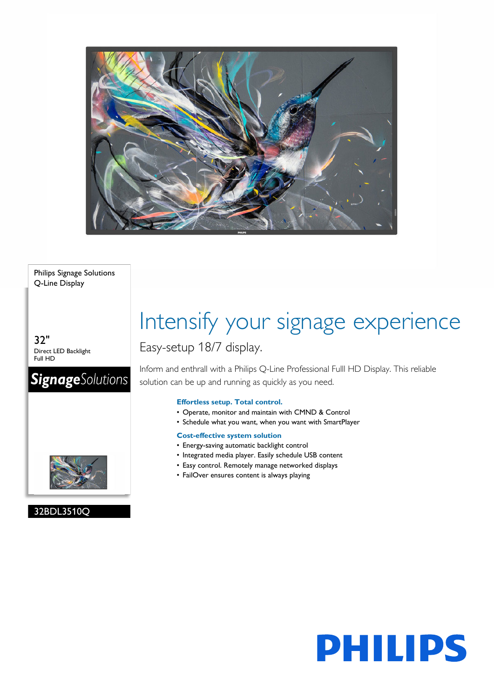

Philips Signage Solutions Q-Line Display

32" Direct LED Backlight Full HD

## **SignageSolutions**



### 32BDL3510Q

# Intensify your signage experience

### Easy-setup 18/7 display.

Inform and enthrall with a Philips Q-Line Professional Fulll HD Display. This reliable solution can be up and running as quickly as you need.

#### **Effortless setup. Total control.**

- Operate, monitor and maintain with CMND & Control
- Schedule what you want, when you want with SmartPlayer

#### **Cost-effective system solution**

- Energy-saving automatic backlight control
- Integrated media player. Easily schedule USB content
- Easy control. Remotely manage networked displays
- FailOver ensures content is always playing

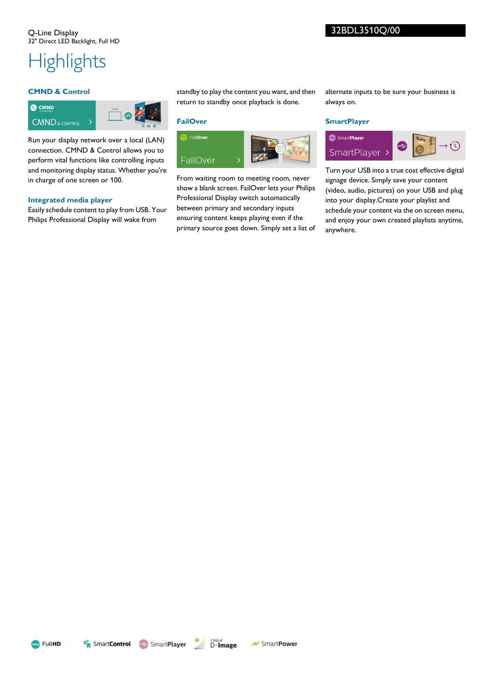## **Highlights**

#### **CMND & Control**



Run your display network over a local (LAN) connection. CMND & Control allows you to perform vital functions like controlling inputs and monitoring display status. Whether you're in charge of one screen or 100.

#### **Integrated media player**

Easily schedule content to play from USB. Your Philips Professional Display will wake from

standby to play the content you want, and then return to standby once playback is done.

#### **FailOver**



From waiting room to meeting room, never show a blank screen. FailOver lets your Philips Professional Display switch automatically between primary and secondary inputs ensuring content keeps playing even if the primary source goes down. Simply set a list of alternate inputs to be sure your business is always on.

#### **SmartPlayer**



Turn your USB into a true cost effective digital signage device. Simply save your content (video, audio, pictures) on your USB and plug into your display.Create your playlist and schedule your content via the on screen menu, and enjoy your own created playlists anytime, anywhere.